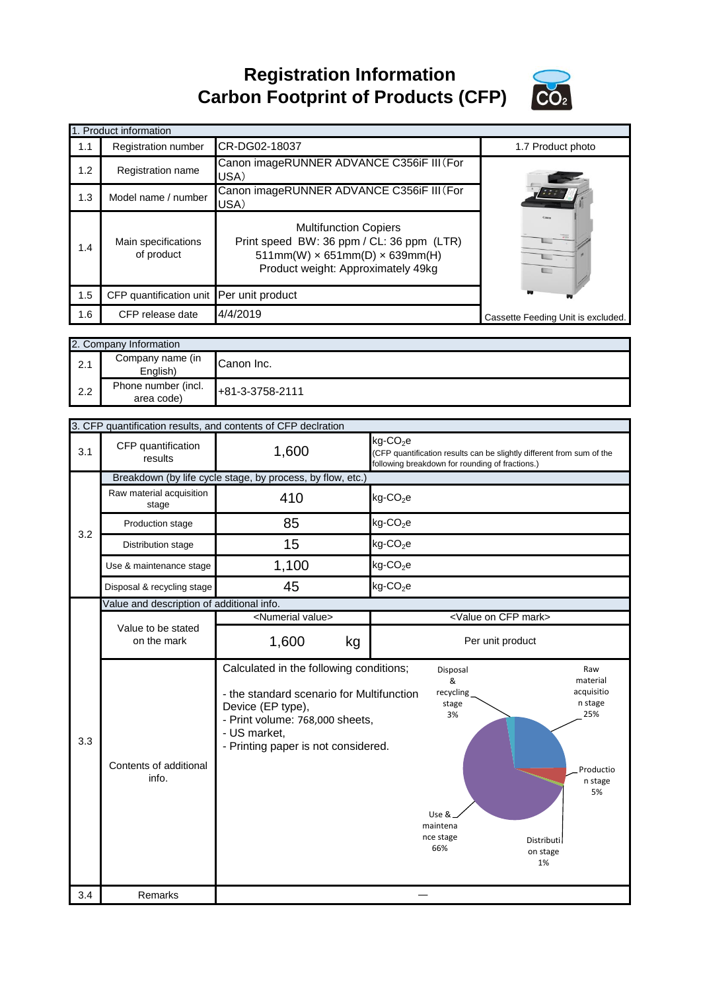**Registration Information Carbon Footprint of Products (CFP)**



|     | 1. Product information                   |                                                                                                                                                               |                                    |
|-----|------------------------------------------|---------------------------------------------------------------------------------------------------------------------------------------------------------------|------------------------------------|
| 1.1 | <b>Registration number</b>               | CR-DG02-18037                                                                                                                                                 | 1.7 Product photo                  |
| 1.2 | <b>Registration name</b>                 | Canon imageRUNNER ADVANCE C356iF III (For<br>USA)                                                                                                             |                                    |
| 1.3 | Model name / number                      | Canon imageRUNNER ADVANCE C356iF III (For<br>USA)                                                                                                             |                                    |
| 1.4 | Main specifications<br>of product        | <b>Multifunction Copiers</b><br>Print speed BW: 36 ppm / CL: 36 ppm (LTR)<br>$511mm(W) \times 651mm(D) \times 639mm(H)$<br>Product weight: Approximately 49kg |                                    |
| 1.5 | CFP quantification unit Per unit product |                                                                                                                                                               |                                    |
| 1.6 | CFP release date                         | 4/4/2019                                                                                                                                                      | Cassette Feeding Unit is excluded. |

|     | 2. Company Information            |                 |  |
|-----|-----------------------------------|-----------------|--|
| 2.1 | Company name (in<br>English)      | Canon Inc.      |  |
| 2.2 | Phone number (incl.<br>area code) | +81-3-3758-2111 |  |

|     |                                           | 3. CFP quantification results, and contents of CFP declration                                                                                                                                       |                                                                                                                                                                                                      |
|-----|-------------------------------------------|-----------------------------------------------------------------------------------------------------------------------------------------------------------------------------------------------------|------------------------------------------------------------------------------------------------------------------------------------------------------------------------------------------------------|
| 3.1 | CFP quantification<br>results             | 1,600                                                                                                                                                                                               | kg-CO <sub>2</sub> e<br>(CFP quantification results can be slightly different from sum of the<br>following breakdown for rounding of fractions.)                                                     |
|     |                                           | Breakdown (by life cycle stage, by process, by flow, etc.)                                                                                                                                          |                                                                                                                                                                                                      |
|     | Raw material acquisition<br>stage         | 410                                                                                                                                                                                                 | $kg$ -CO <sub>2</sub> e                                                                                                                                                                              |
| 3.2 | Production stage                          | 85                                                                                                                                                                                                  | $kg$ -CO <sub>2</sub> e                                                                                                                                                                              |
|     | Distribution stage                        | 15                                                                                                                                                                                                  | $kg$ -CO <sub>2</sub> e                                                                                                                                                                              |
|     | Use & maintenance stage                   | 1,100                                                                                                                                                                                               | $kg$ -CO <sub>2</sub> e                                                                                                                                                                              |
|     | Disposal & recycling stage                | 45                                                                                                                                                                                                  | $kg$ -CO <sub>2</sub> e                                                                                                                                                                              |
|     | Value and description of additional info. |                                                                                                                                                                                                     |                                                                                                                                                                                                      |
|     |                                           | <numerial value=""></numerial>                                                                                                                                                                      | <value cfp="" mark="" on=""></value>                                                                                                                                                                 |
|     | Value to be stated<br>on the mark         | 1,600<br>kg                                                                                                                                                                                         | Per unit product                                                                                                                                                                                     |
| 3.3 | Contents of additional<br>info.           | Calculated in the following conditions;<br>- the standard scenario for Multifunction<br>Device (EP type),<br>- Print volume: 768,000 sheets,<br>- US market,<br>- Printing paper is not considered. | Raw<br>Disposal<br>&<br>material<br>acquisitio<br>recycling<br>n stage<br>stage<br>3%<br>25%<br>Productio<br>n stage<br>5%<br>Use &<br>maintena<br>nce stage<br>Distributil<br>66%<br>on stage<br>1% |
|     |                                           |                                                                                                                                                                                                     |                                                                                                                                                                                                      |